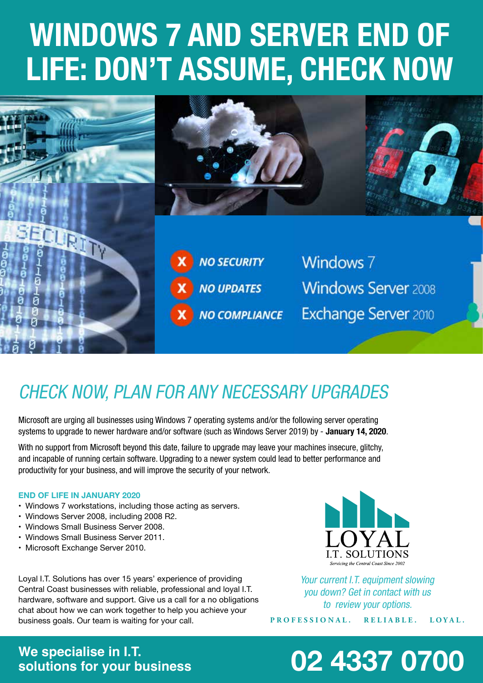# **WINDOWS 7 AND SERVER END OF LIFE: DON'T ASSUME, CHECK NOW**



### *CHECK NOW, PLAN FOR ANY NECESSARY UPGRADES*

*Microsoft are urging all businesses using Windows 7 operating systems and/or the following server operating*  systems to upgrade to newer hardware and/or software (such as Windows Server 2019) by - **January 14, 2020**.

*With no support from Microsoft beyond this date, failure to upgrade may leave your machines insecure, glitchy, and incapable of running certain software. Upgrading to a newer system could lead to better performance and productivity for your business, and will improve the security of your network.*

#### **END OF LIFE IN JANUARY 2020**

- Windows 7 workstations, including those acting as servers.
- Windows Server 2008, including 2008 R2.
- • Windows Small Business Server 2008.
- • Windows Small Business Server 2011.
- Microsoft Exchange Server 2010.

Loyal I.T. Solutions has over 15 years' experience of providing Central Coast businesses with reliable, professional and loyal I.T. hardware, software and support. Give us a call for a no obligations chat about how we can work together to help you achieve your business goals. Our team is waiting for your call.



*Your current I.T. equipment slowing you down? Get in contact with us to review your options.*

**PROFESSIONAL. RELIABLE. LOYAL.**

## **We specialise in I.T.**

## **solutions for your business 02 4337 0700**